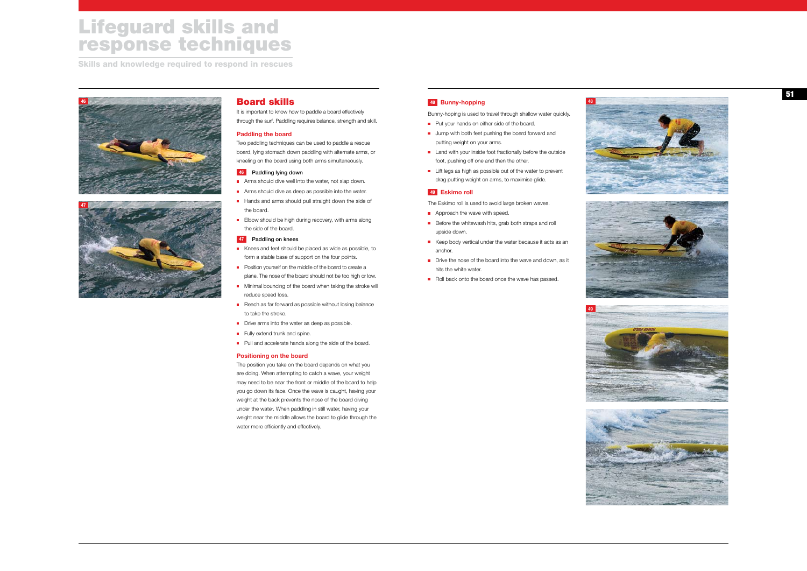## **<sup>48</sup> Bunny-hopping**

Bunny-hoping is used to travel through shallow water quickly.

- **Put your hands on either side of the board.**
- **Jump with both feet pushing the board forward and** putting weight on your arms.
- Land with your inside foot fractionally before the outside foot, pushing off one and then the other.
- **Lift legs as high as possible out of the water to prevent** drag putting weight on arms, to maximise glide.

- The Eskimo roll is used to avoid large broken waves.
- Approach the wave with speed.
- Before the whitewash hits, grab both straps and roll upside down.
- Keep body vertical under the water because it acts as an anchor.
- Drive the nose of the board into the wave and down, as it hits the white water.
- Roll back onto the board once the wave has passed.

## **<sup>49</sup> Eskimo roll**

- Arms should dive well into the water, not slap down.
- **Arms should dive as deep as possible into the water.**
- Hands and arms should pull straight down the side of the board.
- Elbow should be high during recovery, with arms along the side of the board.

# Board skills

It is important to know how to paddle a board effectively through the surf. Paddling requires balance, strength and skill.

### **Paddling the board**

Two paddling techniques can be used to paddle a rescue board, lying stomach down paddling with alternate arms, or kneeling on the board using both arms simultaneously.

### **46** Paddling lying down

### **47** Paddling on knees

- Knees and feet should be placed as wide as possible, to form a stable base of support on the four points.
- **Position yourself on the middle of the board to create a** plane. The nose of the board should not be too high or low.
- Minimal bouncing of the board when taking the stroke will reduce speed loss.
- Reach as far forward as possible without losing balance to take the stroke.
- Drive arms into the water as deep as possible.
- Fully extend trunk and spine.
- **Pull and accelerate hands along the side of the board.**

#### **Positioning on the board**

The position you take on the board depends on what you are doing. When attempting to catch a wave, your weight may need to be near the front or middle of the board to help you go down its face. Once the wave is caught, having your weight at the back prevents the nose of the board diving under the water. When paddling in still water, having your weight near the middle allows the board to glide through the water more efficiently and effectively.







**48**











# Lifeguard skills and response techniques

Skills and knowledge required to respond in rescues